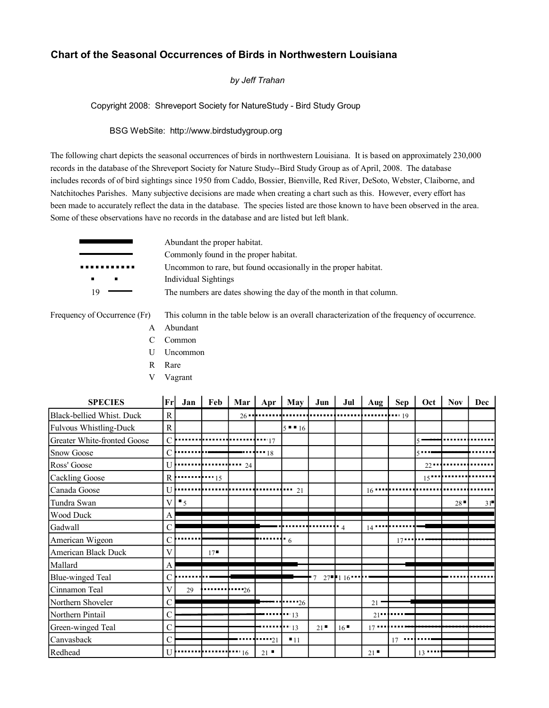## **Chart of the Seasonal Occurrences of Birds in Northwestern Louisiana**

## *by Jeff Trahan*

Copyright 2008: Shreveport Society for NatureStudy - Bird Study Group

## BSG WebSite: http://www.birdstudygroup.org

The following chart depicts the seasonal occurrences of birds in northwestern Louisiana. It is based on approximately 230,000 records in the database of the Shreveport Society for Nature Study--Bird Study Group as of April, 2008. The database includes records of of bird sightings since 1950 from Caddo, Bossier, Bienville, Red River, DeSoto, Webster, Claiborne, and Natchitoches Parishes. Many subjective decisions are made when creating a chart such as this. However, every effort has been made to accurately reflect the data in the database. The species listed are those known to have been observed in the area. Some of these observations have no records in the database and are listed but left blank.

|                | Abundant the proper habitat.                                       |
|----------------|--------------------------------------------------------------------|
|                | Commonly found in the proper habitat.                              |
|                | Uncommon to rare, but found occasionally in the proper habitat.    |
| $\blacksquare$ | Individual Sightings                                               |
| 19             | The numbers are dates showing the day of the month in that column. |
|                |                                                                    |

Frequency of Occurrence (Fr) This column in the table below is an overall characterization of the frequency of occurrence.

- A Abundant C Common
- U Uncommon
- R Rare
- 
- V Vagrant

| <b>SPECIES</b>              | $\mathbf{Fr}$ | Jan            | Feb         | Mar           | Apr         | <b>May</b>    | Jun | Jul            | Aug           | <b>Sep</b>  | Oct             | <b>Nov</b> | Dec |
|-----------------------------|---------------|----------------|-------------|---------------|-------------|---------------|-----|----------------|---------------|-------------|-----------------|------------|-----|
| Black-bellied Whist. Duck   | R             |                |             | $26 -$        |             |               |     |                |               | $\cdots$ 19 |                 |            |     |
| Fulvous Whistling-Duck      | R             |                |             |               |             | $5 = 16$      |     |                |               |             |                 |            |     |
| Greater White-fronted Goose | C             |                |             |               | $- - 17$    |               |     |                |               |             |                 |            |     |
| <b>Snow Goose</b>           | $\mathcal{C}$ |                |             |               | $-18$       |               |     |                |               |             |                 |            |     |
| Ross' Goose                 | U             |                |             | $-24$         |             |               |     |                |               |             | $22 -$          |            |     |
| <b>Cackling Goose</b>       | R             |                | $\cdots$ 15 |               |             |               |     |                |               |             | 15 <sup>1</sup> |            |     |
| Canada Goose                | U             |                |             |               |             | $\cdots$ 21   |     |                | $16$ $\cdots$ |             |                 |            |     |
| Tundra Swan                 | V             | $\blacksquare$ |             |               |             |               |     |                |               |             |                 | 28         | 31  |
| Wood Duck                   | A             |                |             |               |             |               |     |                |               |             |                 |            |     |
| Gadwall                     | $\mathcal{C}$ |                |             |               |             |               |     | $\overline{4}$ | 14            |             |                 |            |     |
| American Wigeon             | С             |                |             |               |             | 6             |     |                |               | $17 - 1$    |                 |            |     |
| American Black Duck         | V             |                | 17          |               |             |               |     |                |               |             |                 |            |     |
| Mallard                     | A             |                |             |               |             |               |     |                |               |             |                 |            |     |
| <b>Blue-winged Teal</b>     | $\mathcal{C}$ |                |             |               |             |               |     | $27 - 116$     |               |             |                 |            |     |
| Cinnamon Teal               | V             | 29             |             | $-26$         |             |               |     |                |               |             |                 |            |     |
| Northern Shoveler           | $\mathcal{C}$ |                |             |               |             | $-26$         |     |                | 21            |             |                 |            |     |
| Northern Pintail            | $\mathcal{C}$ |                |             |               |             | $\cdots_{13}$ |     |                | $21 -$        |             |                 |            |     |
| Green-winged Teal           | $\mathcal{C}$ |                |             |               |             | $-13$         | 21  | 16             | 17            |             |                 |            |     |
| Canvasback                  | $\mathcal{C}$ |                |             |               | $\cdots$ 21 | $-11$         |     |                |               | 17<br>      |                 |            |     |
| Redhead                     | U             |                |             | $\cdots_{16}$ | 21          |               |     |                | 21            |             | $13$            |            |     |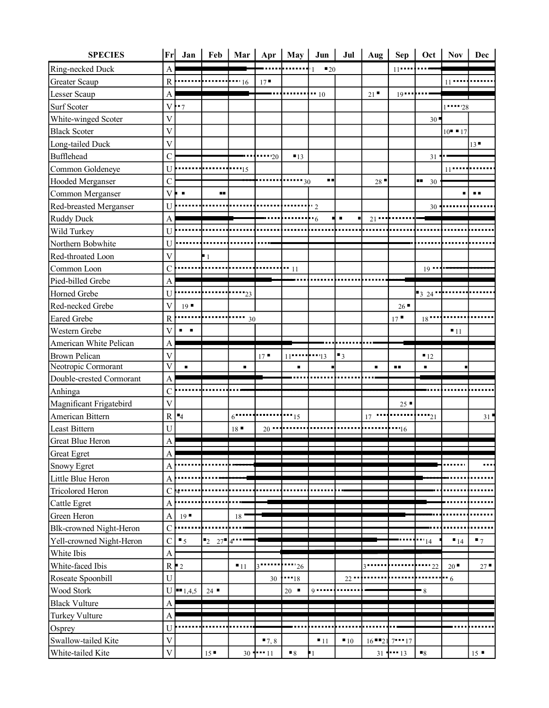| <b>SPECIES</b>                 | Fr                        | Jan                     | Feb                  | Mar            | Apr         | May                 | Jun                                 | Jul               | Aug $\vert$ | <b>Sep</b>        | Oct              | <b>Nov</b>        | Dec                 |
|--------------------------------|---------------------------|-------------------------|----------------------|----------------|-------------|---------------------|-------------------------------------|-------------------|-------------|-------------------|------------------|-------------------|---------------------|
| Ring-necked Duck               | $\boldsymbol{\mathsf{A}}$ |                         |                      |                |             |                     | $\blacksquare$ 20<br>$\overline{1}$ |                   |             | $11$              |                  |                   |                     |
| <b>Greater Scaup</b>           | ${\bf R}$                 |                         |                      | $-16$          | 17          |                     |                                     |                   |             |                   |                  | $11 -$            |                     |
| Lesser Scaup                   | $\mathbf{A}$              |                         |                      |                |             |                     | $-10$                               |                   | 21          | $19 -$            |                  |                   |                     |
| <b>Surf Scoter</b>             | $\mathbf V$               | $-7$                    |                      |                |             |                     |                                     |                   |             |                   |                  | $1 - 28$          |                     |
| White-winged Scoter            | $\mathbf V$               |                         |                      |                |             |                     |                                     |                   |             |                   | 30               |                   |                     |
| <b>Black Scoter</b>            | $\overline{\mathsf{V}}$   |                         |                      |                |             |                     |                                     |                   |             |                   |                  | $10 - 17$         |                     |
| Long-tailed Duck               | $\mathbf V$               |                         |                      |                |             |                     |                                     |                   |             |                   |                  |                   | 13                  |
| <b>Bufflehead</b>              | $\overline{C}$            |                         |                      |                | $\cdots$ 20 | $-13$               |                                     |                   |             |                   | 31               |                   |                     |
| Common Goldeneye               | U                         |                         |                      | $\cdots$ 15    |             |                     |                                     |                   |             |                   |                  | 11                |                     |
| Hooded Merganser               | $\overline{C}$            |                         |                      |                |             | $\cdots$ 30         | <b>HE</b>                           |                   | 28          |                   | þв.<br>30        |                   |                     |
| Common Merganser               | $\mathbf V$               |                         | n n                  |                |             |                     |                                     |                   |             |                   |                  |                   |                     |
| Red-breasted Merganser         | $\mathbf U$               |                         |                      |                |             |                     | $\cdot$ 2                           |                   |             |                   | $30\,$           |                   |                     |
| <b>Ruddy Duck</b>              | $\overline{A}$            |                         |                      |                |             |                     | .6                                  | ▎▖                | $21$ $"$    |                   |                  |                   |                     |
| Wild Turkey                    | U                         |                         |                      |                |             |                     |                                     |                   |             |                   |                  |                   |                     |
| Northern Bobwhite              | U                         |                         |                      |                |             |                     |                                     |                   |             |                   |                  |                   |                     |
| Red-throated Loon              | $\mathbf V$               |                         | $\blacksquare$       |                |             |                     |                                     |                   |             |                   |                  |                   |                     |
| Common Loon                    | $\mathcal{C}$             |                         |                      |                |             | $-11$               |                                     |                   |             |                   | $19 -$           |                   |                     |
| Pied-billed Grebe              | $\overline{A}$            |                         |                      |                |             |                     |                                     |                   |             |                   |                  |                   |                     |
| Horned Grebe                   | U                         |                         |                      | $-23$          |             |                     |                                     |                   |             |                   | 324              |                   |                     |
| Red-necked Grebe               | $\overline{\mathsf{V}}$   | $19$ $\blacksquare$     |                      |                |             |                     |                                     |                   |             | $26 -$            |                  |                   |                     |
| <b>Eared Grebe</b>             | ${\bf R}$                 |                         |                      | <br>30         |             |                     |                                     |                   |             | 17                | $18$ $-$         |                   |                     |
| Western Grebe                  | V                         | $\mathbf{m}=\mathbf{m}$ |                      |                |             |                     |                                     |                   |             |                   |                  | $-11$             |                     |
| American White Pelican         | $\mathbf{A}$              |                         |                      |                |             |                     |                                     |                   |             |                   |                  |                   |                     |
| <b>Brown Pelican</b>           | $\overline{\mathsf{V}}$   |                         |                      |                | $17 -$      | $11$ $$ $13$        |                                     | $\blacksquare$    |             |                   | $-12$            |                   |                     |
| Neotropic Cormorant            | $\overline{\mathsf{V}}$   | $\blacksquare$          |                      | $\blacksquare$ |             | п                   |                                     |                   | п           | п.                | $\blacksquare$   |                   |                     |
| Double-crested Cormorant       | A                         |                         |                      |                |             |                     |                                     |                   |             |                   |                  |                   |                     |
| Anhinga                        | $\mathcal{C}$             |                         |                      |                |             |                     |                                     |                   |             |                   |                  |                   |                     |
| Magnificant Frigatebird        | $\overline{V}$            |                         |                      |                |             |                     |                                     |                   |             | $25 -$            |                  |                   |                     |
| American Bittern               | ${\bf R}$                 | $-4$                    |                      | $6$            |             | $\cdots$ 15         |                                     |                   | 17          |                   | $\cdots_{21}$    |                   | 31                  |
| Least Bittern                  | $\mathbf U$               |                         |                      | 18             | $20 -$      |                     |                                     |                   |             | $-16$             |                  |                   |                     |
| <b>Great Blue Heron</b>        | $\overline{A}$            |                         |                      |                |             |                     |                                     |                   |             |                   |                  |                   |                     |
| <b>Great Egret</b>             | A                         |                         |                      |                |             |                     |                                     |                   |             |                   |                  |                   |                     |
| <b>Snowy Egret</b>             | $\overline{A}$            |                         |                      |                |             |                     |                                     |                   |             |                   |                  |                   |                     |
| Little Blue Heron              | $\mathbf{A}$              |                         |                      |                |             |                     |                                     |                   |             |                   |                  |                   |                     |
| <b>Tricolored Heron</b>        | $\mathbf C$               |                         |                      |                |             |                     |                                     |                   |             |                   |                  |                   |                     |
| Cattle Egret                   | $\overline{A}$            |                         |                      |                |             |                     |                                     |                   |             |                   |                  |                   |                     |
| Green Heron                    | $\mathbf{A}$              | 19                      |                      | 18             |             |                     |                                     |                   |             |                   |                  |                   |                     |
| <b>Blk-crowned Night-Heron</b> | $\mathbf C$               |                         |                      |                |             |                     |                                     |                   |             |                   |                  |                   |                     |
| Yell-crowned Night-Heron       | $\overline{C}$            | $\blacksquare$          | $\mathbf{I}_2$<br>27 | $4^{\bullet}$  |             |                     |                                     |                   |             |                   | "14"             | $\blacksquare$ 14 | $\blacksquare$      |
| White Ibis                     | $\mathbf{A}$              |                         |                      |                |             |                     |                                     |                   |             |                   |                  |                   |                     |
| White-faced Ibis               |                           | $R \mid 2$              |                      | $-11$          |             | $\cdots$ 26         |                                     |                   |             |                   | $\cdots$ 22      | 20                | 27                  |
| Roseate Spoonbill              | $\mathbf U$               |                         |                      |                | 30          | $-18$               |                                     | $22 -$            |             |                   |                  | -⊩ 6              |                     |
| Wood Stork                     |                           | $U = 1,4,5$             | 24                   |                |             | $20$ $\blacksquare$ | Q                                   |                   |             |                   | $-8$             |                   |                     |
| <b>Black Vulture</b>           | $\boldsymbol{\rm{A}}$     |                         |                      |                |             |                     |                                     |                   |             |                   |                  |                   |                     |
| <b>Turkey Vulture</b>          | $\overline{A}$            |                         |                      |                |             |                     |                                     |                   |             |                   |                  |                   |                     |
| Osprey                         | $\mathbf U$               |                         |                      |                |             |                     |                                     |                   |             |                   |                  |                   |                     |
| Swallow-tailed Kite            | $\overline{\mathsf{V}}$   |                         |                      |                | $-7, 8$     |                     | $\blacksquare$ 11                   | $\blacksquare$ 10 |             | $16 - 21$ 7 $17$  |                  |                   |                     |
| White-tailed Kite              | $\overline{V}$            |                         | 15                   |                | $30 - 11$   | $\blacksquare$      | -1                                  |                   |             | $31$ $1 \cdot 13$ | $\blacksquare_8$ |                   | $15$ $\blacksquare$ |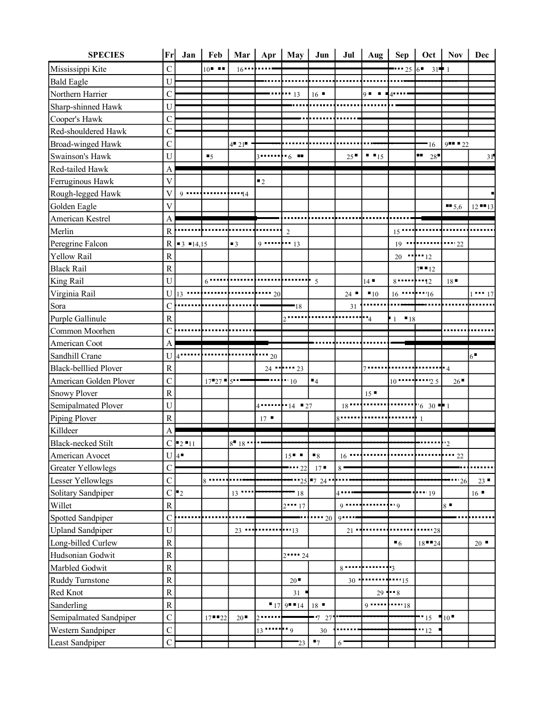| $\overline{C}$<br>$10$ $\blacksquare$<br>Mississippi Kite<br>$-256$<br>$16$ $-$<br>$31 - 1$<br>U<br><b>Bald Eagle</b><br>Northern Harrier<br>$\mathsf{C}$<br>16<br>$Q = 1$<br>$-13$<br>$4 -$<br>Sharp-shinned Hawk<br>${\bf U}$<br>$\mathcal{C}_{\mathcal{C}}$<br>Cooper's Hawk<br>Red-shouldered Hawk<br>$\mathcal{C}$<br>$\mathsf{C}$<br>Broad-winged Hawk<br>$4^{\circ} 21^{\circ}$<br>$9 - 22$<br>16<br>шm,<br>$\mathbf U$<br>$\blacksquare$ $\blacksquare$ 15<br>Swainson's Hawk<br>25<br>28<br>$\cdot$ 6 $\cdot$<br>$\blacksquare$<br>$3$<br>31<br>Red-tailed Hawk<br>$\mathbf{A}$<br>$\overline{\mathsf{V}}$<br>Ferruginous Hawk<br>$\blacksquare$<br>Rough-legged Hawk<br>V<br>$9 - 1 - 1$<br>$\cdots$ 14<br>$\overline{\mathsf{V}}$<br>Golden Eagle<br>$\blacksquare$ 5,6<br>$12$ $13$<br>American Kestrel<br>A<br>Merlin<br>$\mathbb{R}$<br>$15$ $\cdots$<br>$\overline{2}$<br>Peregrine Falcon<br>$\cdots$ $\cdots$ 22<br>$\mathbb{R}$<br>$19$<br>$\blacksquare$<br>$9 \cdots \cdots \cdots 13$<br>$\blacksquare$ 3 $\blacksquare$ 14,15<br>Yellow Rail<br>${\bf R}$<br>$\cdots$ $\cdots$ 12<br>20<br><b>Black Rail</b><br>${\bf R}$<br>$7 - 12$<br>U<br>14<br>18<br>$6$<br>$\mathbf{r}$ 5<br>$\mathbf U$<br>24<br>$13 -$<br>$\cdots$ 20<br>$-10$<br>$16$ $16$ $16$<br>$1 - 17$<br>Sora<br>$\mathbf C$<br>$-18$<br>31<br>${\bf R}$<br>Purple Gallinule<br>$-4$<br>$-18$<br>$\mathbf{1}$<br>$\mathsf{C}$<br>$\mathbf{A}$<br>American Coot<br>$6^{\bullet}$<br>U<br>$-20$<br>$4^{\bullet}$<br><b>Black-belllied Plover</b><br>${\bf R}$<br>╋ 4<br>$24$ $\cdots$ $23$<br>$7 - - -$<br>$\mathbf C$<br>American Golden Plover<br>$\blacksquare$ 4<br>$17 - 27$ 5<br>$-10$<br>26<br>$\overline{R}$<br><b>Snowy Plover</b><br>15<br>U<br>$\cdot$ 14 $\cdot$ 27<br>18<br>$630 - 1$<br>4<br>$\mathbf R$<br>Piping Plover<br>17<br>Killdeer<br>A<br>$C = 2 - 11$<br>$8 - 18 -$<br>$\cdot$ <sup>2</sup><br>American Avocet<br>$U$ <sup>4</sup><br>$15$ $\blacksquare$<br>$\blacksquare_8$<br>16<br>$\cdots$ 22 |
|----------------------------------------------------------------------------------------------------------------------------------------------------------------------------------------------------------------------------------------------------------------------------------------------------------------------------------------------------------------------------------------------------------------------------------------------------------------------------------------------------------------------------------------------------------------------------------------------------------------------------------------------------------------------------------------------------------------------------------------------------------------------------------------------------------------------------------------------------------------------------------------------------------------------------------------------------------------------------------------------------------------------------------------------------------------------------------------------------------------------------------------------------------------------------------------------------------------------------------------------------------------------------------------------------------------------------------------------------------------------------------------------------------------------------------------------------------------------------------------------------------------------------------------------------------------------------------------------------------------------------------------------------------------------------------------------------------------------------------------------------------------------------------------------------------------------------------------------------------------------------------------------------------------------------------------------------------------------------------------------------------------|
|                                                                                                                                                                                                                                                                                                                                                                                                                                                                                                                                                                                                                                                                                                                                                                                                                                                                                                                                                                                                                                                                                                                                                                                                                                                                                                                                                                                                                                                                                                                                                                                                                                                                                                                                                                                                                                                                                                                                                                                                                |
|                                                                                                                                                                                                                                                                                                                                                                                                                                                                                                                                                                                                                                                                                                                                                                                                                                                                                                                                                                                                                                                                                                                                                                                                                                                                                                                                                                                                                                                                                                                                                                                                                                                                                                                                                                                                                                                                                                                                                                                                                |
|                                                                                                                                                                                                                                                                                                                                                                                                                                                                                                                                                                                                                                                                                                                                                                                                                                                                                                                                                                                                                                                                                                                                                                                                                                                                                                                                                                                                                                                                                                                                                                                                                                                                                                                                                                                                                                                                                                                                                                                                                |
|                                                                                                                                                                                                                                                                                                                                                                                                                                                                                                                                                                                                                                                                                                                                                                                                                                                                                                                                                                                                                                                                                                                                                                                                                                                                                                                                                                                                                                                                                                                                                                                                                                                                                                                                                                                                                                                                                                                                                                                                                |
|                                                                                                                                                                                                                                                                                                                                                                                                                                                                                                                                                                                                                                                                                                                                                                                                                                                                                                                                                                                                                                                                                                                                                                                                                                                                                                                                                                                                                                                                                                                                                                                                                                                                                                                                                                                                                                                                                                                                                                                                                |
|                                                                                                                                                                                                                                                                                                                                                                                                                                                                                                                                                                                                                                                                                                                                                                                                                                                                                                                                                                                                                                                                                                                                                                                                                                                                                                                                                                                                                                                                                                                                                                                                                                                                                                                                                                                                                                                                                                                                                                                                                |
| King Rail<br>Virginia Rail<br>Common Moorhen<br>Sandhill Crane<br>Semipalmated Plover<br><b>Black-necked Stilt</b>                                                                                                                                                                                                                                                                                                                                                                                                                                                                                                                                                                                                                                                                                                                                                                                                                                                                                                                                                                                                                                                                                                                                                                                                                                                                                                                                                                                                                                                                                                                                                                                                                                                                                                                                                                                                                                                                                             |
|                                                                                                                                                                                                                                                                                                                                                                                                                                                                                                                                                                                                                                                                                                                                                                                                                                                                                                                                                                                                                                                                                                                                                                                                                                                                                                                                                                                                                                                                                                                                                                                                                                                                                                                                                                                                                                                                                                                                                                                                                |
|                                                                                                                                                                                                                                                                                                                                                                                                                                                                                                                                                                                                                                                                                                                                                                                                                                                                                                                                                                                                                                                                                                                                                                                                                                                                                                                                                                                                                                                                                                                                                                                                                                                                                                                                                                                                                                                                                                                                                                                                                |
|                                                                                                                                                                                                                                                                                                                                                                                                                                                                                                                                                                                                                                                                                                                                                                                                                                                                                                                                                                                                                                                                                                                                                                                                                                                                                                                                                                                                                                                                                                                                                                                                                                                                                                                                                                                                                                                                                                                                                                                                                |
|                                                                                                                                                                                                                                                                                                                                                                                                                                                                                                                                                                                                                                                                                                                                                                                                                                                                                                                                                                                                                                                                                                                                                                                                                                                                                                                                                                                                                                                                                                                                                                                                                                                                                                                                                                                                                                                                                                                                                                                                                |
|                                                                                                                                                                                                                                                                                                                                                                                                                                                                                                                                                                                                                                                                                                                                                                                                                                                                                                                                                                                                                                                                                                                                                                                                                                                                                                                                                                                                                                                                                                                                                                                                                                                                                                                                                                                                                                                                                                                                                                                                                |
|                                                                                                                                                                                                                                                                                                                                                                                                                                                                                                                                                                                                                                                                                                                                                                                                                                                                                                                                                                                                                                                                                                                                                                                                                                                                                                                                                                                                                                                                                                                                                                                                                                                                                                                                                                                                                                                                                                                                                                                                                |
|                                                                                                                                                                                                                                                                                                                                                                                                                                                                                                                                                                                                                                                                                                                                                                                                                                                                                                                                                                                                                                                                                                                                                                                                                                                                                                                                                                                                                                                                                                                                                                                                                                                                                                                                                                                                                                                                                                                                                                                                                |
|                                                                                                                                                                                                                                                                                                                                                                                                                                                                                                                                                                                                                                                                                                                                                                                                                                                                                                                                                                                                                                                                                                                                                                                                                                                                                                                                                                                                                                                                                                                                                                                                                                                                                                                                                                                                                                                                                                                                                                                                                |
|                                                                                                                                                                                                                                                                                                                                                                                                                                                                                                                                                                                                                                                                                                                                                                                                                                                                                                                                                                                                                                                                                                                                                                                                                                                                                                                                                                                                                                                                                                                                                                                                                                                                                                                                                                                                                                                                                                                                                                                                                |
|                                                                                                                                                                                                                                                                                                                                                                                                                                                                                                                                                                                                                                                                                                                                                                                                                                                                                                                                                                                                                                                                                                                                                                                                                                                                                                                                                                                                                                                                                                                                                                                                                                                                                                                                                                                                                                                                                                                                                                                                                |
|                                                                                                                                                                                                                                                                                                                                                                                                                                                                                                                                                                                                                                                                                                                                                                                                                                                                                                                                                                                                                                                                                                                                                                                                                                                                                                                                                                                                                                                                                                                                                                                                                                                                                                                                                                                                                                                                                                                                                                                                                |
|                                                                                                                                                                                                                                                                                                                                                                                                                                                                                                                                                                                                                                                                                                                                                                                                                                                                                                                                                                                                                                                                                                                                                                                                                                                                                                                                                                                                                                                                                                                                                                                                                                                                                                                                                                                                                                                                                                                                                                                                                |
|                                                                                                                                                                                                                                                                                                                                                                                                                                                                                                                                                                                                                                                                                                                                                                                                                                                                                                                                                                                                                                                                                                                                                                                                                                                                                                                                                                                                                                                                                                                                                                                                                                                                                                                                                                                                                                                                                                                                                                                                                |
|                                                                                                                                                                                                                                                                                                                                                                                                                                                                                                                                                                                                                                                                                                                                                                                                                                                                                                                                                                                                                                                                                                                                                                                                                                                                                                                                                                                                                                                                                                                                                                                                                                                                                                                                                                                                                                                                                                                                                                                                                |
|                                                                                                                                                                                                                                                                                                                                                                                                                                                                                                                                                                                                                                                                                                                                                                                                                                                                                                                                                                                                                                                                                                                                                                                                                                                                                                                                                                                                                                                                                                                                                                                                                                                                                                                                                                                                                                                                                                                                                                                                                |
|                                                                                                                                                                                                                                                                                                                                                                                                                                                                                                                                                                                                                                                                                                                                                                                                                                                                                                                                                                                                                                                                                                                                                                                                                                                                                                                                                                                                                                                                                                                                                                                                                                                                                                                                                                                                                                                                                                                                                                                                                |
|                                                                                                                                                                                                                                                                                                                                                                                                                                                                                                                                                                                                                                                                                                                                                                                                                                                                                                                                                                                                                                                                                                                                                                                                                                                                                                                                                                                                                                                                                                                                                                                                                                                                                                                                                                                                                                                                                                                                                                                                                |
|                                                                                                                                                                                                                                                                                                                                                                                                                                                                                                                                                                                                                                                                                                                                                                                                                                                                                                                                                                                                                                                                                                                                                                                                                                                                                                                                                                                                                                                                                                                                                                                                                                                                                                                                                                                                                                                                                                                                                                                                                |
|                                                                                                                                                                                                                                                                                                                                                                                                                                                                                                                                                                                                                                                                                                                                                                                                                                                                                                                                                                                                                                                                                                                                                                                                                                                                                                                                                                                                                                                                                                                                                                                                                                                                                                                                                                                                                                                                                                                                                                                                                |
|                                                                                                                                                                                                                                                                                                                                                                                                                                                                                                                                                                                                                                                                                                                                                                                                                                                                                                                                                                                                                                                                                                                                                                                                                                                                                                                                                                                                                                                                                                                                                                                                                                                                                                                                                                                                                                                                                                                                                                                                                |
|                                                                                                                                                                                                                                                                                                                                                                                                                                                                                                                                                                                                                                                                                                                                                                                                                                                                                                                                                                                                                                                                                                                                                                                                                                                                                                                                                                                                                                                                                                                                                                                                                                                                                                                                                                                                                                                                                                                                                                                                                |
|                                                                                                                                                                                                                                                                                                                                                                                                                                                                                                                                                                                                                                                                                                                                                                                                                                                                                                                                                                                                                                                                                                                                                                                                                                                                                                                                                                                                                                                                                                                                                                                                                                                                                                                                                                                                                                                                                                                                                                                                                |
|                                                                                                                                                                                                                                                                                                                                                                                                                                                                                                                                                                                                                                                                                                                                                                                                                                                                                                                                                                                                                                                                                                                                                                                                                                                                                                                                                                                                                                                                                                                                                                                                                                                                                                                                                                                                                                                                                                                                                                                                                |
|                                                                                                                                                                                                                                                                                                                                                                                                                                                                                                                                                                                                                                                                                                                                                                                                                                                                                                                                                                                                                                                                                                                                                                                                                                                                                                                                                                                                                                                                                                                                                                                                                                                                                                                                                                                                                                                                                                                                                                                                                |
|                                                                                                                                                                                                                                                                                                                                                                                                                                                                                                                                                                                                                                                                                                                                                                                                                                                                                                                                                                                                                                                                                                                                                                                                                                                                                                                                                                                                                                                                                                                                                                                                                                                                                                                                                                                                                                                                                                                                                                                                                |
| <b>Greater Yellowlegs</b><br>$\mathsf{C}$<br>$17 -$<br>22<br>$8^{\circ}$                                                                                                                                                                                                                                                                                                                                                                                                                                                                                                                                                                                                                                                                                                                                                                                                                                                                                                                                                                                                                                                                                                                                                                                                                                                                                                                                                                                                                                                                                                                                                                                                                                                                                                                                                                                                                                                                                                                                       |
| $\mathbf C$<br>Lesser Yellowlegs<br>25 7 24<br>$8 -$<br>23<br>$-26$                                                                                                                                                                                                                                                                                                                                                                                                                                                                                                                                                                                                                                                                                                                                                                                                                                                                                                                                                                                                                                                                                                                                                                                                                                                                                                                                                                                                                                                                                                                                                                                                                                                                                                                                                                                                                                                                                                                                            |
| $C$   $2$<br>Solitary Sandpiper<br>18<br>$\cdots_{19}$<br>$16$ $\blacksquare$<br>$13 -$<br>4                                                                                                                                                                                                                                                                                                                                                                                                                                                                                                                                                                                                                                                                                                                                                                                                                                                                                                                                                                                                                                                                                                                                                                                                                                                                                                                                                                                                                                                                                                                                                                                                                                                                                                                                                                                                                                                                                                                   |
| Willet<br>${\bf R}$<br>$9 -$<br>$8 =$<br>$2 - 17$<br>q                                                                                                                                                                                                                                                                                                                                                                                                                                                                                                                                                                                                                                                                                                                                                                                                                                                                                                                                                                                                                                                                                                                                                                                                                                                                                                                                                                                                                                                                                                                                                                                                                                                                                                                                                                                                                                                                                                                                                         |
| Spotted Sandpiper<br>$\mathcal{C}$<br>$9 -$<br>$\cdots$ 20                                                                                                                                                                                                                                                                                                                                                                                                                                                                                                                                                                                                                                                                                                                                                                                                                                                                                                                                                                                                                                                                                                                                                                                                                                                                                                                                                                                                                                                                                                                                                                                                                                                                                                                                                                                                                                                                                                                                                     |
| <b>Upland Sandpiper</b><br>$\mathbf U$<br>$23$ $-$<br>$\cdots_{13}$<br>21<br>''28                                                                                                                                                                                                                                                                                                                                                                                                                                                                                                                                                                                                                                                                                                                                                                                                                                                                                                                                                                                                                                                                                                                                                                                                                                                                                                                                                                                                                                                                                                                                                                                                                                                                                                                                                                                                                                                                                                                              |
| Long-billed Curlew<br>${\bf R}$<br>$\blacksquare$ 6<br>$18 - 24$<br>20                                                                                                                                                                                                                                                                                                                                                                                                                                                                                                                                                                                                                                                                                                                                                                                                                                                                                                                                                                                                                                                                                                                                                                                                                                                                                                                                                                                                                                                                                                                                                                                                                                                                                                                                                                                                                                                                                                                                         |
| Hudsonian Godwit<br>${\bf R}$<br>$2^{11}$ 24                                                                                                                                                                                                                                                                                                                                                                                                                                                                                                                                                                                                                                                                                                                                                                                                                                                                                                                                                                                                                                                                                                                                                                                                                                                                                                                                                                                                                                                                                                                                                                                                                                                                                                                                                                                                                                                                                                                                                                   |
| Marbled Godwit<br>${\bf R}$<br>$8 - -$<br>†3                                                                                                                                                                                                                                                                                                                                                                                                                                                                                                                                                                                                                                                                                                                                                                                                                                                                                                                                                                                                                                                                                                                                                                                                                                                                                                                                                                                                                                                                                                                                                                                                                                                                                                                                                                                                                                                                                                                                                                   |
| ${\bf R}$<br><b>Ruddy Turnstone</b><br>20<br>$-15$<br>30                                                                                                                                                                                                                                                                                                                                                                                                                                                                                                                                                                                                                                                                                                                                                                                                                                                                                                                                                                                                                                                                                                                                                                                                                                                                                                                                                                                                                                                                                                                                                                                                                                                                                                                                                                                                                                                                                                                                                       |
| Red Knot<br>${\bf R}$<br>$29 - 8$<br>31                                                                                                                                                                                                                                                                                                                                                                                                                                                                                                                                                                                                                                                                                                                                                                                                                                                                                                                                                                                                                                                                                                                                                                                                                                                                                                                                                                                                                                                                                                                                                                                                                                                                                                                                                                                                                                                                                                                                                                        |
| Sanderling<br>$\mathbf R$<br>$179 - 14$<br>18<br>$9 - -$<br>$\cdots$ 18                                                                                                                                                                                                                                                                                                                                                                                                                                                                                                                                                                                                                                                                                                                                                                                                                                                                                                                                                                                                                                                                                                                                                                                                                                                                                                                                                                                                                                                                                                                                                                                                                                                                                                                                                                                                                                                                                                                                        |
| $\mathbf C$<br>Semipalmated Sandpiper<br>20<br>$-15$<br>$10^{\circ}$<br>$17 - 22$<br>$-7$ 27                                                                                                                                                                                                                                                                                                                                                                                                                                                                                                                                                                                                                                                                                                                                                                                                                                                                                                                                                                                                                                                                                                                                                                                                                                                                                                                                                                                                                                                                                                                                                                                                                                                                                                                                                                                                                                                                                                                   |
| $\mathbf C$<br>Western Sandpiper<br>$13$ $\cdots$ $9$<br>$30\,$<br>$-12$                                                                                                                                                                                                                                                                                                                                                                                                                                                                                                                                                                                                                                                                                                                                                                                                                                                                                                                                                                                                                                                                                                                                                                                                                                                                                                                                                                                                                                                                                                                                                                                                                                                                                                                                                                                                                                                                                                                                       |
| $\overline{C}$<br>$\blacksquare$<br>Least Sandpiper<br>23<br>6                                                                                                                                                                                                                                                                                                                                                                                                                                                                                                                                                                                                                                                                                                                                                                                                                                                                                                                                                                                                                                                                                                                                                                                                                                                                                                                                                                                                                                                                                                                                                                                                                                                                                                                                                                                                                                                                                                                                                 |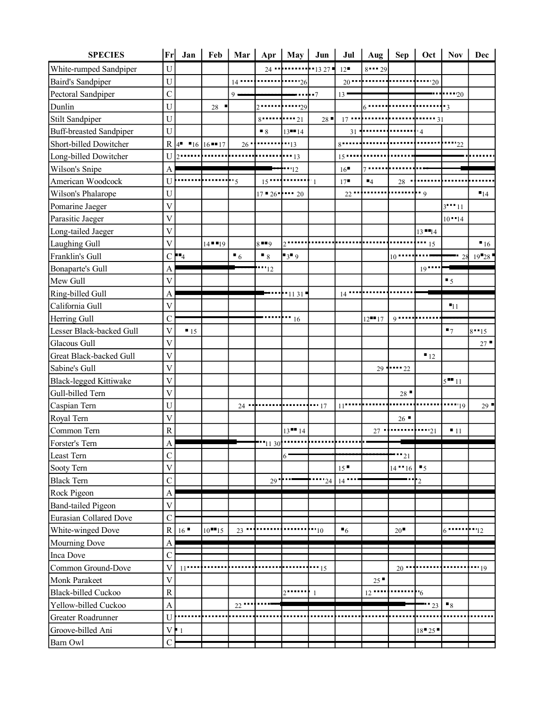| <b>SPECIES</b>                 | $\mathbf{Fr}$           | Jan                | Feb                      | Mar                 |                        | Apr May     | Jun                 | Jul                 |                     |                     | Aug   Sep   Oct    | <b>Nov</b>              | Dec               |
|--------------------------------|-------------------------|--------------------|--------------------------|---------------------|------------------------|-------------|---------------------|---------------------|---------------------|---------------------|--------------------|-------------------------|-------------------|
| White-rumped Sandpiper         | ${\bf U}$               |                    |                          |                     | $24 -$                 |             | $-1327 -$           | 12                  | $8 - 29$            |                     |                    |                         |                   |
| <b>Baird's Sandpiper</b>       | $\mathbf U$             |                    |                          | $14$                |                        | $\cdots$ 26 |                     | $20 -$              |                     |                     | $\cdots$ 20        |                         |                   |
| Pectoral Sandpiper             | $\mathcal{C}$           |                    |                          | $9 -$               |                        |             | $\cdots$ .7         | $13 -$              |                     |                     |                    | $-20$                   |                   |
| Dunlin                         | U                       |                    | $28\,$                   |                     | $2$                    | $-29$       |                     |                     |                     |                     |                    | $\overline{\mathbf{3}}$ |                   |
| <b>Stilt Sandpiper</b>         | U                       |                    |                          |                     | $8 -$                  | $\cdots$ 21 | 28                  | $17 -$              |                     |                     | $\cdots$ 31        |                         |                   |
| <b>Buff-breasted Sandpiper</b> | U                       |                    |                          |                     | $\blacksquare$         | $13 - 14$   |                     | 31                  |                     |                     | $\overline{4}$     |                         |                   |
| Short-billed Dowitcher         | $\mathbb{R}$            | $4$ $16$ $16$ $17$ |                          | $26$ $\blacksquare$ |                        | $-13$       |                     | $8 - -$             |                     |                     |                    | $\cdots$ 22             |                   |
| Long-billed Dowitcher          | U                       |                    |                          |                     |                        | $-13$       |                     | $15 -$              |                     |                     |                    |                         |                   |
| Wilson's Snipe                 | $\mathbf{A}$            |                    |                          |                     |                        | $-12$       |                     | 16                  |                     |                     |                    |                         |                   |
| American Woodcock              | U                       |                    |                          | 5                   | $15$ $15$              |             | $^{\prime\prime}$ 1 | 17                  | $\blacksquare_4$    | 28                  |                    |                         |                   |
| Wilson's Phalarope             | U                       |                    |                          |                     | $17 \cdot 26 \cdot 20$ |             |                     | 22                  |                     |                     | $\cdot \cdot$ 9    |                         | $\blacksquare$ 14 |
| Pomarine Jaeger                | $\overline{\mathsf{V}}$ |                    |                          |                     |                        |             |                     |                     |                     |                     |                    | $3 - 11$                |                   |
| Parasitic Jaeger               | $\overline{\mathsf{V}}$ |                    |                          |                     |                        |             |                     |                     |                     |                     |                    | $10 - 14$               |                   |
| Long-tailed Jaeger             | $\mathbf V$             |                    |                          |                     |                        |             |                     |                     |                     |                     | $13 - 14$          |                         |                   |
| Laughing Gull                  | $\overline{\mathbf{V}}$ |                    | $14 - 19$                |                     | $8 - 9$                |             |                     |                     |                     |                     | $\mathbf{11}_{15}$ |                         | 16                |
| Franklin's Gull                |                         | $C$   $4$          |                          | $\blacksquare$      | $\blacksquare$         | $3$ 9       |                     |                     |                     | $10 -$              |                    |                         | 28 19 28          |
| <b>Bonaparte's Gull</b>        | A                       |                    |                          |                     | "12"                   |             |                     |                     |                     |                     | $19$               |                         |                   |
| Mew Gull                       | $\overline{V}$          |                    |                          |                     |                        |             |                     |                     |                     |                     |                    | $\blacksquare$          |                   |
| Ring-billed Gull               | $\mathbf{A}$            |                    |                          |                     |                        |             |                     | $14$ $\blacksquare$ |                     |                     |                    |                         |                   |
| California Gull                | $\overline{\mathsf{V}}$ |                    |                          |                     |                        |             |                     |                     |                     |                     |                    | $-11$                   |                   |
| Herring Gull                   | $\mathcal{C}$           |                    |                          |                     |                        | $\cdots$ 16 |                     |                     | $12$ <sup>-17</sup> | $9 - - -$           |                    |                         |                   |
| Lesser Black-backed Gull       | $\overline{\mathsf{V}}$ | $\blacksquare$ 15  |                          |                     |                        |             |                     |                     |                     |                     |                    | $\blacksquare$          | $8 - 15$          |
| <b>Glacous Gull</b>            | $\overline{\mathsf{V}}$ |                    |                          |                     |                        |             |                     |                     |                     |                     |                    |                         | 27                |
| Great Black-backed Gull        | $\overline{V}$          |                    |                          |                     |                        |             |                     |                     |                     |                     | $\blacksquare$ 12  |                         |                   |
| Sabine's Gull                  | $\overline{\mathsf{V}}$ |                    |                          |                     |                        |             |                     |                     |                     | $29 - 22$           |                    |                         |                   |
| <b>Black-legged Kittiwake</b>  | $\overline{\mathsf{V}}$ |                    |                          |                     |                        |             |                     |                     |                     |                     |                    | $5 - 11$                |                   |
| Gull-billed Tern               | $\overline{V}$          |                    |                          |                     |                        |             |                     |                     |                     | 28                  |                    |                         |                   |
| Caspian Tern                   | U                       |                    |                          | $24$ $-$            |                        |             | $1 - 17$            | 11                  |                     |                     |                    | $\cdots$ <sup>19</sup>  | 29                |
| Royal Tern                     | $\overline{\mathsf{V}}$ |                    |                          |                     |                        |             |                     |                     |                     | 26                  |                    |                         |                   |
| Common Tern                    | $\mathbf R$             |                    |                          |                     |                        | $13 - 14$   |                     |                     | $27 -$              |                     | $\cdots$ 21        | $-11$                   |                   |
| Forster's Tern                 | $\mathbf{A}$            |                    |                          |                     | 1130                   |             |                     |                     |                     |                     |                    |                         |                   |
| Least Tern                     | $\mathsf{C}$            |                    |                          |                     |                        | 6           |                     |                     |                     | $-21$               |                    |                         |                   |
| Sooty Tern                     | $\overline{\mathsf{V}}$ |                    |                          |                     |                        |             |                     | 15                  |                     | $14 - 16$           | $\blacksquare$     |                         |                   |
| <b>Black Tern</b>              | $\mathsf{C}$            |                    |                          |                     | 29                     |             | "24"                | $14 -$              |                     |                     | $^{\prime}2$       |                         |                   |
| Rock Pigeon                    | $\mathbf{A}$            |                    |                          |                     |                        |             |                     |                     |                     |                     |                    |                         |                   |
| <b>Band-tailed Pigeon</b>      | $\overline{V}$          |                    |                          |                     |                        |             |                     |                     |                     |                     |                    |                         |                   |
| Eurasian Collared Dove         | $\mathcal{C}$           |                    |                          |                     |                        |             |                     |                     |                     |                     |                    |                         |                   |
| White-winged Dove              | ${\bf R}$               | 16                 | $10$ <sup>-15</sup> $15$ | 23                  |                        |             | "10"                | $\blacksquare_6$    |                     | 20                  |                    | 6                       | 12                |
| Mourning Dove                  | $\mathbf{A}$            |                    |                          |                     |                        |             |                     |                     |                     |                     |                    |                         |                   |
| Inca Dove                      | $\mathcal{C}$           |                    |                          |                     |                        |             |                     |                     |                     |                     |                    |                         |                   |
| Common Ground-Dove             | V                       | $11$ .             |                          |                     |                        |             | $-15$               |                     |                     | $20$ $\blacksquare$ |                    |                         | $-19$             |
| <b>Monk Parakeet</b>           | $\overline{V}$          |                    |                          |                     |                        |             |                     |                     | 25                  |                     |                    |                         |                   |
| <b>Black-billed Cuckoo</b>     | $\mathbf R$             |                    |                          |                     |                        | $2$         | $\overline{1}$      |                     | $12$ $\cdots$       |                     | l '6               |                         |                   |
| Yellow-billed Cuckoo           | A                       |                    |                          | 22                  |                        |             |                     |                     |                     |                     | $-23$              | $\blacksquare$          |                   |
| Greater Roadrunner             | U                       |                    |                          |                     |                        |             |                     |                     |                     |                     |                    |                         |                   |
| Groove-billed Ani              | $\mathbf V$             | $\mathbf{1}$       |                          |                     |                        |             |                     |                     |                     |                     | $18 - 25$          |                         |                   |
| Barn Owl                       | $\overline{C}$          |                    |                          |                     |                        |             |                     |                     |                     |                     |                    |                         |                   |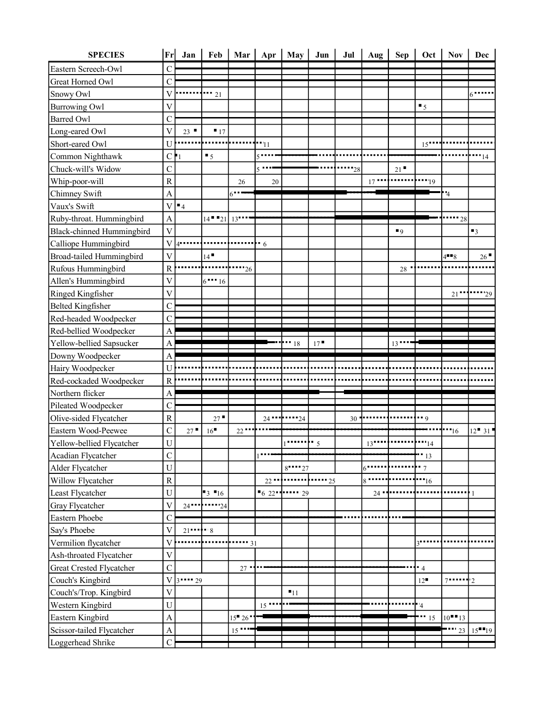|                                      | Fr                          | Jan            | Feb               | Mar           | Apr           | May           | Jun       | Jul   | Aug    | <b>Sep</b>     | Oct              | <b>Nov</b>           | Dec                      |
|--------------------------------------|-----------------------------|----------------|-------------------|---------------|---------------|---------------|-----------|-------|--------|----------------|------------------|----------------------|--------------------------|
| Eastern Screech-Owl                  | $\mathcal{C}$               |                |                   |               |               |               |           |       |        |                |                  |                      |                          |
| Great Horned Owl                     | $\mathcal{C}$               |                |                   |               |               |               |           |       |        |                |                  |                      |                          |
| Snowy Owl                            | V                           |                | $\cdots$ 21       |               |               |               |           |       |        |                |                  |                      |                          |
| <b>Burrowing Owl</b>                 | $\overline{V}$              |                |                   |               |               |               |           |       |        |                | $\blacksquare$ 5 |                      |                          |
| <b>Barred Owl</b>                    | $\mathcal{C}_{\mathcal{C}}$ |                |                   |               |               |               |           |       |        |                |                  |                      |                          |
| Long-eared Owl                       | $\overline{V}$              | 23             | $\blacksquare$ 17 |               |               |               |           |       |        |                |                  |                      |                          |
| Short-eared Owl                      | $\mathbf U$                 |                |                   |               | '''11         |               |           |       |        |                | 15"              |                      |                          |
| Common Nighthawk                     | C                           |                | $\blacksquare$ 5  |               |               |               |           |       |        |                |                  |                      | - 14                     |
| Chuck-will's Widow                   | $\mathcal{C}$               |                |                   |               | 5             |               |           | $-28$ |        | 21             |                  |                      |                          |
| Whip-poor-will                       | $\mathbb{R}$                |                |                   | 26            | 20            |               |           |       | $17 -$ |                | $\cdots_{19}$    |                      |                          |
| Chimney Swift                        | $\overline{A}$              |                |                   | $6 -$         |               |               |           |       |        |                |                  | $\cdot$ <sup>4</sup> |                          |
| Vaux's Swift                         | V                           | $\blacksquare$ |                   |               |               |               |           |       |        |                |                  |                      |                          |
| Ruby-throat. Hummingbird             | $\overline{A}$              |                | $14 - 21$         | 13            |               |               |           |       |        |                |                  | 28                   |                          |
| Black-chinned Hummingbird            | V                           |                |                   |               |               |               |           |       |        | $\blacksquare$ |                  |                      | $\blacksquare$           |
| Calliope Hummingbird                 | V                           | $4$            |                   |               | $\frac{1}{6}$ |               |           |       |        |                |                  |                      |                          |
| Broad-tailed Hummingbird             | $\mathbf V$                 |                | 14                |               |               |               |           |       |        |                |                  | $4 - 8$              | 26                       |
| Rufous Hummingbird                   | $\mathbf R$                 |                |                   | "26"          |               |               |           |       |        | 28             |                  |                      |                          |
| Allen's Hummingbird                  | $\overline{V}$              |                | $6 - 16$          |               |               |               |           |       |        |                |                  |                      |                          |
| Ringed Kingfisher                    | $\overline{\mathsf{V}}$     |                |                   |               |               |               |           |       |        |                |                  | 21                   | 129                      |
| <b>Belted Kingfisher</b>             | $\mathcal{C}$               |                |                   |               |               |               |           |       |        |                |                  |                      |                          |
| Red-headed Woodpecker                | $\mathsf{C}$                |                |                   |               |               |               |           |       |        |                |                  |                      |                          |
| Red-bellied Woodpecker               | A                           |                |                   |               |               |               |           |       |        |                |                  |                      |                          |
| Yellow-bellied Sapsucker             | $\mathbf{A}$                |                |                   |               |               | $\cdots_{18}$ | 17        |       |        | 13             |                  |                      |                          |
| Downy Woodpecker                     | A                           |                |                   |               |               |               |           |       |        |                |                  |                      |                          |
| Hairy Woodpecker                     | U                           |                |                   |               |               |               |           |       |        |                |                  |                      |                          |
| Red-cockaded Woodpecker              | $\overline{R}$              |                |                   |               |               |               |           |       |        |                |                  |                      |                          |
| Northern flicker                     | A                           |                |                   |               |               |               |           |       |        |                |                  |                      |                          |
| Pileated Woodpecker                  | $\mathcal{C}$               |                |                   |               |               |               |           |       |        |                |                  |                      |                          |
|                                      |                             |                |                   |               |               |               |           |       |        |                |                  |                      |                          |
| Olive-sided Flycatcher               | $\overline{\text{R}}$       |                | $27 -$            |               | $24 -$        | -24           |           | 30    |        |                | $\blacksquare$   |                      |                          |
| Eastern Wood-Peewee                  | $\overline{C}$              | 27             | 16                | 22            |               |               |           |       |        |                |                  | "16"                 | $12 - 31$                |
| Yellow-bellied Flycatcher            | U                           |                |                   |               |               |               | $\cdot$ 5 |       | 13     |                | $\cdots_{14}$    |                      |                          |
| Acadian Flycatcher                   | $\mathbf C$                 |                |                   |               |               |               |           |       |        |                | " ' 13"          |                      |                          |
| Alder Flycatcher                     | U                           |                |                   |               |               | $8 - 27$      |           |       | 6      |                | $\overline{7}$   |                      |                          |
| Willow Flycatcher                    | ${\bf R}$                   |                |                   |               | $22 -$        |               | $-25$     |       | $8 -$  |                | $\cdots$ 16      |                      |                          |
| Least Flycatcher                     | U                           |                | $3 - 16$          |               | 622           | $\cdots$ 29   |           |       | $24 -$ |                |                  |                      | 1                        |
| Gray Flycatcher                      | $\overline{\mathsf{V}}$     | $24 -$         | $\cdots$ 24       |               |               |               |           |       |        |                |                  |                      |                          |
| Eastern Phoebe                       | $\mathcal{C}$               |                |                   |               |               |               |           |       |        |                |                  |                      |                          |
| Say's Phoebe                         | V                           | $21$           | $-8$              |               |               |               |           |       |        |                |                  |                      |                          |
| Vermilion flycatcher                 | V                           |                |                   | $-31$         |               |               |           |       |        |                | $3^{\bullet}$    |                      |                          |
| Ash-throated Flycatcher              | $\overline{\mathsf{V}}$     |                |                   |               |               |               |           |       |        |                |                  |                      |                          |
| Great Crested Flycatcher             | $\overline{C}$              |                |                   | $27 -$        |               |               |           |       |        |                | $-4$             |                      |                          |
| Couch's Kingbird                     | V                           | $3 - 129$      |                   |               |               |               |           |       |        |                | 12               | $7 - -$              | $2^{\circ}$              |
| Couch's/Trop. Kingbird               | $\mathbf V$                 |                |                   |               |               | $-11$         |           |       |        |                |                  |                      |                          |
|                                      | U                           |                |                   |               | 15            |               |           |       |        |                | '4               |                      |                          |
| Western Kingbird<br>Eastern Kingbird | $\mathbf{A}$                |                |                   | $15 - 26$     |               |               |           |       |        |                | $\cdots$ 15      | $10$ <sup>-13</sup>  |                          |
| Scissor-tailed Flycatcher            | $\mathbf{A}$                |                |                   | $15$ $\cdots$ |               |               |           |       |        |                |                  | 23                   | $15$ <sup>-19</sup> $19$ |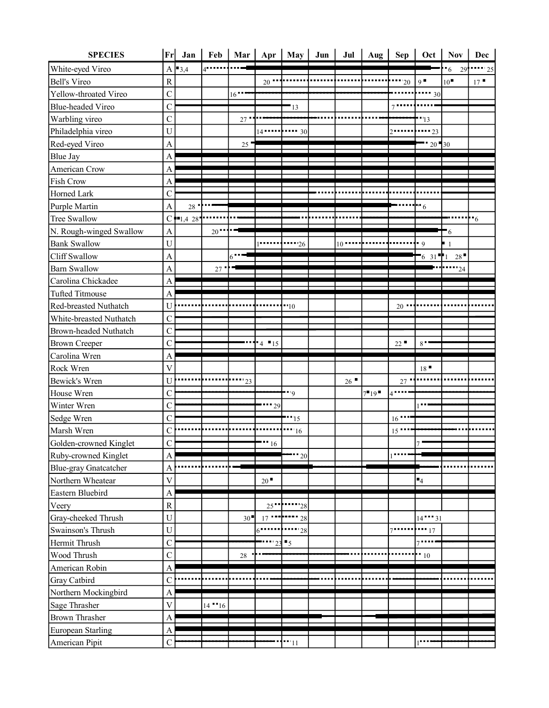| <b>SPECIES</b>               |                         | Fr Jan              | Feb       | Mar           |               | Apr   May      | Jun | Jul      | Aug $\vert$ | Sep             | Oct                      | $\bf Nov$                      | Dec                        |
|------------------------------|-------------------------|---------------------|-----------|---------------|---------------|----------------|-----|----------|-------------|-----------------|--------------------------|--------------------------------|----------------------------|
| White-eyed Vireo             |                         | $A \rightarrow 3,4$ | $4$       |               |               |                |     |          |             |                 |                          | $\cdot$ 6<br>29'               | $\cdots$ 25                |
| <b>Bell's Vireo</b>          | $\overline{R}$          |                     |           |               | $20$ $-$      |                |     |          |             | $-20$           | $9^{\bullet}$            | $10$ <sup><math>-</math></sup> | 17                         |
| Yellow-throated Vireo        | $\overline{C}$          |                     |           | 16            |               |                |     |          |             |                 | ш<br>30                  |                                |                            |
| <b>Blue-headed Vireo</b>     | $\overline{C}$          |                     |           |               |               | -13            |     |          |             | 7.              |                          |                                |                            |
| Warbling vireo               | $\mathsf{C}$            |                     |           | 27            |               |                |     |          |             |                 | ''13                     |                                |                            |
| Philadelphia vireo           | U                       |                     |           |               |               |                |     |          |             |                 | $\cdots$ 23              |                                |                            |
| Red-eyed Vireo               | $\overline{A}$          |                     |           | 25            |               |                |     |          |             |                 | $20 - 30$                |                                |                            |
| <b>Blue Jay</b>              | A                       |                     |           |               |               |                |     |          |             |                 |                          |                                |                            |
| American Crow                | A                       |                     |           |               |               |                |     |          |             |                 |                          |                                |                            |
| <b>Fish Crow</b>             | A                       |                     |           |               |               |                |     |          |             |                 |                          |                                |                            |
| Horned Lark                  | $\mathcal{C}$           |                     |           |               |               |                |     |          |             |                 |                          |                                |                            |
| Purple Martin                | $\overline{A}$          | 28                  |           |               |               |                |     |          |             |                 | $\mathbf{F}^{\bullet}$ 6 |                                |                            |
| <b>Tree Swallow</b>          |                         | $C = 1,4,28$        |           |               |               |                |     |          |             |                 |                          |                                | $\cdot \cdot$ <sub>6</sub> |
| N. Rough-winged Swallow      | $\mathbf{A}$            |                     | 20        |               |               |                |     |          |             |                 |                          | $+6$                           |                            |
| <b>Bank Swallow</b>          | U                       |                     |           |               |               | $\cdots$ 26    |     | $10 - 1$ |             |                 | - 9                      | $\mathbf{1}$                   |                            |
| <b>Cliff Swallow</b>         | A                       |                     |           | 6             |               |                |     |          |             |                 | $6 \t31$ 1               | 28                             |                            |
| <b>Barn Swallow</b>          | A                       |                     | 27        |               |               |                |     |          |             |                 |                          | $\cdots_{24}$                  |                            |
| Carolina Chickadee           | A                       |                     |           |               |               |                |     |          |             |                 |                          |                                |                            |
| <b>Tufted Titmouse</b>       | A                       |                     |           |               |               |                |     |          |             |                 |                          |                                |                            |
| Red-breasted Nuthatch        | U                       |                     |           |               |               | $-10$          |     |          |             | $20 -$          |                          |                                |                            |
| White-breasted Nuthatch      | $\mathcal{C}$           |                     |           |               |               |                |     |          |             |                 |                          |                                |                            |
| Brown-headed Nuthatch        | $\mathcal{C}$           |                     |           |               |               |                |     |          |             |                 |                          |                                |                            |
| <b>Brown Creeper</b>         | $\mathbf C$             |                     |           |               | $-4$ $-15$    |                |     |          |             | 22              | 8                        |                                |                            |
| Carolina Wren                | A                       |                     |           |               |               |                |     |          |             |                 |                          |                                |                            |
| Rock Wren                    | $\overline{\mathsf{V}}$ |                     |           |               |               |                |     |          |             |                 | 18                       |                                |                            |
| Bewick's Wren                | U                       |                     |           | $\cdots_{23}$ |               |                |     | 26       |             | 27              |                          |                                |                            |
| House Wren                   | C                       |                     |           |               |               | $\cdots$       |     |          | $7 - 19$    | $4 -$           |                          |                                |                            |
| Winter Wren                  | $\mathbf C$             |                     |           |               | $\cdots$ 29   |                |     |          |             |                 |                          |                                |                            |
| Sedge Wren                   | $\mathcal{C}$           |                     |           |               |               | 15             |     |          |             | 16 <sup>1</sup> |                          |                                |                            |
| Marsh Wren                   | $\overline{C}$          |                     |           |               |               | 16             |     |          |             | 15              |                          |                                |                            |
| Golden-crowned Kinglet       | $\overline{C}$          |                     |           |               | $\cdots$ 16   |                |     |          |             |                 |                          |                                |                            |
| Ruby-crowned Kinglet         | A                       |                     |           |               |               | $-20$          |     |          |             |                 |                          |                                |                            |
| <b>Blue-gray Gnatcatcher</b> | A                       |                     |           |               |               |                |     |          |             |                 |                          |                                |                            |
| Northern Wheatear            | $\bar{\mathsf{V}}$      |                     |           |               | 20            |                |     |          |             |                 | $\blacksquare_4$         |                                |                            |
| Eastern Bluebird             | A                       |                     |           |               |               |                |     |          |             |                 |                          |                                |                            |
| Veery                        | $\mathbf R$             |                     |           |               | 25            | '28            |     |          |             |                 |                          |                                |                            |
| Gray-cheeked Thrush          | $\mathbf U$             |                     |           | 30            | 17            | 28             |     |          |             |                 | $14$ $131$               |                                |                            |
| Swainson's Thrush            | U                       |                     |           |               | $6^{\bullet}$ | 28             |     |          |             |                 | $\cdots$ 17              |                                |                            |
| Hermit Thrush                | $\overline{C}$          |                     |           |               |               | $\blacksquare$ |     |          |             |                 |                          |                                |                            |
| Wood Thrush                  | $\mathbf C$             |                     |           | $28\,$        |               |                |     |          |             |                 | $^{\bullet}$ 10          |                                |                            |
| American Robin               | A                       |                     |           |               |               |                |     |          |             |                 |                          |                                |                            |
| Gray Catbird                 | $\overline{C}$          |                     |           |               |               |                |     |          |             |                 |                          |                                |                            |
| Northern Mockingbird         | A                       |                     |           |               |               |                |     |          |             |                 |                          |                                |                            |
| Sage Thrasher                | V                       |                     | $14 - 16$ |               |               |                |     |          |             |                 |                          |                                |                            |
| <b>Brown Thrasher</b>        | A                       |                     |           |               |               |                |     |          |             |                 |                          |                                |                            |
|                              |                         |                     |           |               |               |                |     |          |             |                 |                          |                                |                            |
| European Starling            | A                       |                     |           |               |               |                |     |          |             |                 |                          |                                |                            |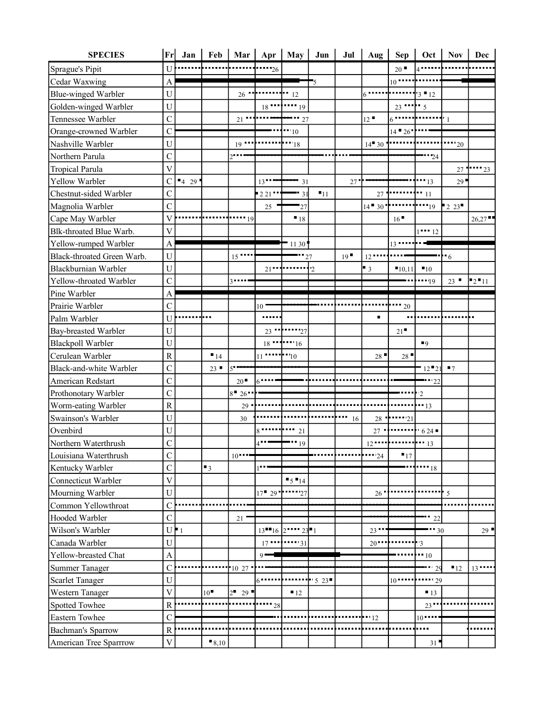| <b>SPECIES</b>             | Fr                        | Jan          | Feb               | Mar                 | Apr             |                                              | May Jun                       | Jul         | Aug $\vert$                   | Sep               | Oct                  | Nov            | Dec                |
|----------------------------|---------------------------|--------------|-------------------|---------------------|-----------------|----------------------------------------------|-------------------------------|-------------|-------------------------------|-------------------|----------------------|----------------|--------------------|
| Sprague's Pipit            | U                         |              |                   |                     | $\cdots$ 26     |                                              |                               |             |                               | 20                | $4^{\bullet}$        |                |                    |
| Cedar Waxwing              | $\mathbf{A}$              |              |                   |                     |                 |                                              | $\blacksquare_5$              |             |                               | 10                |                      |                |                    |
| Blue-winged Warbler        | U                         |              |                   | $26$ $\blacksquare$ |                 | $\cdots$ $\cdots$ 12                         |                               |             | 6                             |                   | $3 - 12$             |                |                    |
| Golden-winged Warbler      | U                         |              |                   |                     | $18$ $\cdots$   | $\cdots$ 19                                  |                               |             |                               | $23$ $\cdots$ 5   |                      |                |                    |
| Tennessee Warbler          | $\mathcal{C}$             |              |                   | $21$ $\cdots$       |                 | $\cdots$ 27                                  |                               |             | 12                            |                   |                      |                |                    |
| Orange-crowned Warbler     | $\mathcal{C}$             |              |                   |                     |                 | $-10$                                        |                               |             |                               | $14 - 26$         |                      |                |                    |
| Nashville Warbler          | U                         |              |                   | $_{19}$             |                 | $\blacksquare$ $\blacksquare$ $\blacksquare$ |                               |             | $14 - 30$                     |                   |                      | $\cdots_{20}$  |                    |
| Northern Parula            | $\mathbf C$               |              |                   | $2$                 |                 |                                              |                               |             |                               |                   | $-24$                |                |                    |
| <b>Tropical Parula</b>     | $\mathbf V$               |              |                   |                     |                 |                                              |                               |             |                               |                   |                      |                | $27$ $1 \cdot 23$  |
| Yellow Warbler             | $\mathsf{C}$              | 429          |                   |                     | 13              | $-31$                                        |                               | 27"         |                               |                   | $\cdots$ 13          | 29             |                    |
| Chestnut-sided Warbler     | $\overline{C}$            |              |                   |                     | 221             | 31                                           | $\blacksquare$ 11             |             | $27\,$                        |                   | $\cdots$ 11          |                |                    |
| Magnolia Warbler           | $\overline{C}$            |              |                   |                     | 25              | $-27$                                        |                               |             | $14 - 30$ $\cdot \cdot \cdot$ |                   | $\mathbf{r}_{19}$    | 223            |                    |
| Cape May Warbler           | $\overline{\mathsf{V}}$   |              |                   | $\cdot$ 19          |                 | 18                                           |                               |             |                               | 16                |                      |                | 26,27              |
| Blk-throated Blue Warb.    | $\overline{\mathsf{V}}$   |              |                   |                     |                 |                                              |                               |             |                               |                   | $1 - 12$             |                |                    |
| Yellow-rumped Warbler      | $\mathbf{A}$              |              |                   |                     |                 | $-1130$                                      |                               |             |                               | $13$ $\cdots$     |                      |                |                    |
| Black-throated Green Warb. | U                         |              |                   | $15$ $\cdots$       |                 |                                              | 27                            | 19          | $12 -$                        |                   |                      | $-6$           |                    |
| Blackburnian Warbler       | U                         |              |                   |                     | $21 -$          |                                              | $\overline{2}$                |             | $\blacksquare$ 3              | 10,11             | $\blacksquare$ 10    |                |                    |
| Yellow-throated Warbler    | $\overline{C}$            |              |                   | $3 - -$             |                 |                                              |                               |             |                               |                   | $-19$                |                | $23$ $23$ $2$ $11$ |
| Pine Warbler               | A                         |              |                   |                     |                 |                                              |                               |             |                               |                   |                      |                |                    |
| Prairie Warbler            | $\mathcal{C}$             |              |                   |                     | 10 <sup>1</sup> |                                              |                               |             |                               | $\cdots$ 20       |                      |                |                    |
| Palm Warbler               | U                         |              |                   |                     | .               |                                              |                               |             | $\blacksquare$                | ٠.                |                      |                |                    |
| Bay-breasted Warbler       | U                         |              |                   |                     |                 | $23$ $\cdots$ $27$                           |                               |             |                               | 21                |                      |                |                    |
| <b>Blackpoll Warbler</b>   | U                         |              |                   |                     |                 | $18$ $16$                                    |                               |             |                               |                   | $\blacksquare$       |                |                    |
| Cerulean Warbler           | $\overline{R}$            |              | $\blacksquare$ 14 |                     | $11$ $11$ $10$  |                                              |                               |             | 28                            | 28                |                      |                |                    |
| Black-and-white Warbler    | $\overline{C}$            |              | 23                | $5 -$               |                 |                                              |                               |             |                               |                   | $12 - 21$            | $\blacksquare$ |                    |
| American Redstart          | $\overline{C}$            |              |                   | 20                  | $6 - -$         |                                              |                               |             |                               |                   | $\cdots$ 22          |                |                    |
| Prothonotary Warbler       | $\overline{C}$            |              |                   | $8 - 26$            |                 |                                              |                               |             |                               |                   | $\overline{2}$       |                |                    |
| Worm-eating Warbler        | $\overline{\text{R}}$     |              |                   | $29 -$              |                 |                                              |                               |             |                               |                   | $\cdot\cdot\cdot$ 13 |                |                    |
| Swainson's Warbler         | $\mathbf U$               |              |                   | 30                  |                 |                                              |                               | $\cdots$ 16 | $28 -$                        | $\cdots$ 21       |                      |                |                    |
| Ovenbird                   | $\mathbf U$               |              |                   |                     |                 | 21                                           |                               |             |                               |                   |                      |                |                    |
| Northern Waterthrush       | $\overline{C}$            |              |                   |                     |                 | $\cdots_{19}$                                |                               |             |                               |                   |                      |                |                    |
| Louisiana Waterthrush      | $\mathcal{C}$             |              |                   | $10$                |                 |                                              |                               |             | $-24$                         | $\blacksquare$ 17 |                      |                |                    |
| Kentucky Warbler           | $\overline{C}$            |              | $\blacksquare$    |                     |                 |                                              |                               |             |                               |                   | $-18$                |                |                    |
| Connecticut Warbler        | $\ensuremath{\mathsf{V}}$ |              |                   |                     |                 | $5 - 14$                                     |                               |             |                               |                   |                      |                |                    |
| Mourning Warbler           | U                         |              |                   |                     | $17 - 29$       | 27                                           |                               |             | 26'                           |                   |                      | $\cdot$ 5      |                    |
| Common Yellowthroat        | $\mathbf C$               |              |                   |                     |                 |                                              |                               |             |                               |                   |                      |                |                    |
| Hooded Warbler             | $\mathcal{C}$             |              |                   | 21                  |                 |                                              |                               |             |                               |                   | 22                   |                |                    |
| Wilson's Warbler           | U                         | $\mathbf{F}$ |                   |                     | $13 - 16$ 2     |                                              | $23 - 1$                      |             | 23                            |                   | 30                   |                | 29                 |
| Canada Warbler             | $\mathbf U$               |              |                   |                     | $17$ $$         | $\cdots$ $\cdots$ 31                         |                               |             | $20 -$                        |                   | $\overline{3}$       |                |                    |
| Yellow-breasted Chat       | A                         |              |                   |                     | $9 -$           |                                              |                               |             |                               |                   | $-10$                |                |                    |
| Summer Tanager             | $\mathbf C$               |              |                   | 10 27               |                 |                                              |                               |             |                               |                   | 29                   | 12             | $13 -$             |
| <b>Scarlet Tanager</b>     | $\mathbf U$               |              |                   |                     | 6               |                                              | $\overline{\phantom{0}5\,23}$ |             |                               | 10                | $\cdots$ 29          |                |                    |
| Western Tanager            | $\overline{\mathsf{V}}$   |              | 10                | $2^{\bullet}$ 29    |                 | $-12$                                        |                               |             |                               |                   | $-13$                |                |                    |
| Spotted Towhee             | $\mathbb{R}$              |              |                   |                     | $-28$           |                                              |                               |             |                               |                   | $23 -$               |                |                    |
| Eastern Towhee             | $\mathcal{C}$             |              |                   |                     |                 |                                              |                               |             | $-12$                         |                   | $10$ $\cdots$        |                |                    |
| <b>Bachman's Sparrow</b>   | $\mathbf R$               |              |                   |                     |                 |                                              |                               |             |                               |                   |                      |                |                    |
| American Tree Sparrrow     | $\ensuremath{\mathsf{V}}$ |              | 8,10              |                     |                 |                                              |                               |             |                               |                   | 31                   |                |                    |
|                            |                           |              |                   |                     |                 |                                              |                               |             |                               |                   |                      |                |                    |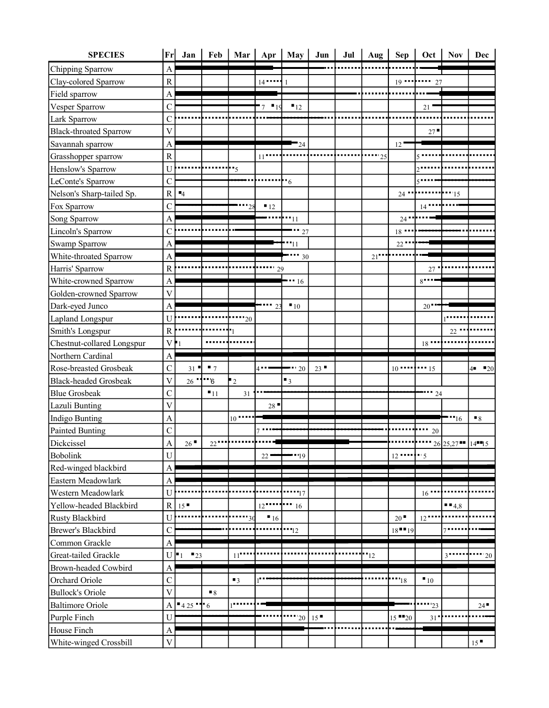| <b>SPECIES</b>                          | Fr                        | Jan                 | Feb                   | Mar                | Apr                                 | May                | Jun | Jul | Aug           | <b>Sep</b>            | Oct                           | <b>Nov</b>     | <b>Dec</b>              |
|-----------------------------------------|---------------------------|---------------------|-----------------------|--------------------|-------------------------------------|--------------------|-----|-----|---------------|-----------------------|-------------------------------|----------------|-------------------------|
| Chipping Sparrow                        | $\mathbf{A}$              |                     |                       |                    |                                     |                    |     |     |               |                       |                               |                |                         |
| Clay-colored Sparrow                    | $\mathbf R$               |                     |                       |                    | $14$ $\cdots$                       | -1                 |     |     |               |                       |                               |                |                         |
| Field sparrow                           | A                         |                     |                       |                    |                                     |                    |     |     |               |                       |                               |                |                         |
| Vesper Sparrow                          | $\mathsf{C}$              |                     |                       |                    | $\blacksquare$ 19<br>$\overline{7}$ | 12                 |     |     |               |                       | 21                            |                |                         |
| Lark Sparrow                            | $\mathsf{C}$              |                     |                       |                    |                                     |                    |     |     |               |                       |                               |                |                         |
| <b>Black-throated Sparrow</b>           | $\overline{\mathsf{V}}$   |                     |                       |                    |                                     |                    |     |     |               |                       | 27                            |                |                         |
| Savannah sparrow                        | $\mathbf{A}$              |                     |                       |                    |                                     | $-24$              |     |     |               | 12                    |                               |                |                         |
| Grasshopper sparrow                     | $\mathbf R$               |                     |                       |                    | 11                                  |                    |     |     | 25            |                       |                               |                |                         |
| Henslow's Sparrow                       | U                         |                     |                       | $-5$               |                                     |                    |     |     |               |                       |                               |                |                         |
| LeConte's Sparrow                       | $\mathsf{C}$              |                     |                       |                    |                                     | $\cdot$ 6          |     |     |               |                       |                               |                |                         |
| Nelson's Sharp-tailed Sp.               | ${\bf R}$                 | $-4$                |                       |                    |                                     |                    |     |     |               | $24 -$                |                               | 15             |                         |
| Fox Sparrow                             | $\overline{C}$            |                     |                       | ''28               | $-12$                               |                    |     |     |               |                       | $14$ $\overline{\phantom{1}}$ |                |                         |
| Song Sparrow                            | $\overline{A}$            |                     |                       |                    |                                     | $\cdot \cdot_{11}$ |     |     |               | 24                    |                               |                |                         |
| Lincoln's Sparrow                       | $\mathsf{C}$              |                     |                       |                    |                                     | $\cdots$ 27        |     |     |               | $18$ $\blacksquare$   |                               |                |                         |
| Swamp Sparrow                           | $\boldsymbol{A}$          |                     |                       |                    |                                     | "11                |     |     |               | $22$ $\blacksquare$   |                               |                |                         |
| White-throated Sparrow                  | $\mathbf{A}$              |                     |                       |                    |                                     | $-30$              |     |     | 21            |                       |                               |                |                         |
| Harris' Sparrow                         | $\mathbf R$               |                     |                       |                    | 29                                  |                    |     |     |               |                       | 27                            |                |                         |
| White-crowned Sparrow                   | $\mathbf{A}$              |                     |                       |                    |                                     | $-16$              |     |     |               |                       | $8 - -$                       |                |                         |
| Golden-crowned Sparrow                  | $\overline{\mathsf{V}}$   |                     |                       |                    |                                     |                    |     |     |               |                       |                               |                |                         |
| Dark-eyed Junco                         | $\mathbf{A}$              |                     |                       |                    |                                     | $-10$              |     |     |               |                       | $20-1$                        |                |                         |
| Lapland Longspur                        | U                         |                     |                       | "20"               |                                     |                    |     |     |               |                       |                               |                |                         |
| Smith's Longspur                        | $\mathbf R$               |                     |                       |                    |                                     |                    |     |     |               |                       |                               | 22             |                         |
| Chestnut-collared Longspur              | $\mathbf V$               |                     |                       |                    |                                     |                    |     |     |               |                       | 18                            |                |                         |
|                                         |                           |                     |                       |                    |                                     |                    |     |     |               |                       |                               |                |                         |
| Northern Cardinal                       | A                         |                     |                       |                    |                                     |                    |     |     |               |                       |                               |                |                         |
| Rose-breasted Grosbeak                  | $\mathbf C$               | 31                  | $\blacksquare$        |                    | $4 -$                               | 20                 | 23  |     |               |                       |                               |                | $\blacksquare$ 20<br>4∎ |
| <b>Black-headed Grosbeak</b>            | $\overline{\mathsf{V}}$   | $26$ $\blacksquare$ | $\cdot \cdot \cdot_6$ | $\mathbf{r}_2$     |                                     | $\blacksquare$     |     |     |               |                       |                               |                |                         |
| <b>Blue Grosbeak</b>                    | $\mathbf C$               |                     | $-11$                 | 31                 |                                     |                    |     |     |               |                       | $-24$                         |                |                         |
|                                         | $\overline{\mathsf{V}}$   |                     |                       |                    | 28                                  |                    |     |     |               |                       |                               |                |                         |
| Lazuli Bunting<br><b>Indigo Bunting</b> | $\mathbf{A}$              |                     |                       | $10$ $\cdots$      |                                     |                    |     |     |               |                       |                               | "16"           | $\blacksquare$          |
| <b>Painted Bunting</b>                  | $\mathcal{C}$             |                     |                       |                    |                                     |                    |     |     |               |                       | 20                            |                |                         |
| Dickcissel                              | $\overline{A}$            | 26                  | $22$                  |                    |                                     |                    |     |     |               |                       |                               | 26 25,27 14 15 |                         |
| <b>Bobolink</b>                         | ${\bf U}$                 |                     |                       |                    | 22                                  | $-19$              |     |     |               |                       |                               |                |                         |
| Red-winged blackbird                    | A                         |                     |                       |                    |                                     |                    |     |     |               |                       |                               |                |                         |
| Eastern Meadowlark                      | $\mathbf{A}$              |                     |                       |                    |                                     |                    |     |     |               |                       |                               |                |                         |
| Western Meadowlark                      | U                         |                     |                       |                    |                                     | $\cdot$ 17         |     |     |               |                       | 16                            |                |                         |
| Yellow-headed Blackbird                 | ${\bf R}$                 | 15                  |                       |                    | 12                                  | $-16$              |     |     |               |                       |                               | $-4,8$         |                         |
| <b>Rusty Blackbird</b>                  | $\mathbf U$               |                     |                       | 30                 | $\blacksquare$ 16                   |                    |     |     |               | 20                    | $12$ .                        |                |                         |
| Brewer's Blackbird                      | $\mathcal{C}$             |                     |                       |                    |                                     | $-12$              |     |     |               | $18$ <sup>-1</sup> 19 |                               |                |                         |
| Common Grackle                          | A                         |                     |                       |                    |                                     |                    |     |     |               |                       |                               |                |                         |
| Great-tailed Grackle                    | $\mathbf U$               | 23                  |                       | $11$ <sup>**</sup> |                                     |                    |     |     | $\cdots_{12}$ |                       |                               |                | $20\,$                  |
| Brown-headed Cowbird                    | $\mathbf{A}$              |                     |                       |                    |                                     |                    |     |     |               |                       |                               |                |                         |
| Orchard Oriole                          | $\mathcal{C}$             |                     |                       | $\blacksquare$     | ı.                                  |                    |     |     |               | "18"                  | $\blacksquare$ 10             |                |                         |
| <b>Bullock's Oriole</b>                 | $\overline{\mathbf{V}}$   |                     | $\blacksquare$        |                    |                                     |                    |     |     |               |                       |                               |                |                         |
|                                         | А                         | $-425 - 6$          |                       |                    |                                     |                    |     |     |               |                       | 23                            |                | 24                      |
| <b>Baltimore Oriole</b><br>Purple Finch | $\mathbf U$               |                     |                       |                    |                                     | $20^{\circ}$       | 15  |     |               | $15$ $-20$            | 31                            |                |                         |
| House Finch                             | $\boldsymbol{\mathsf{A}}$ |                     |                       |                    |                                     |                    |     |     |               |                       |                               |                |                         |